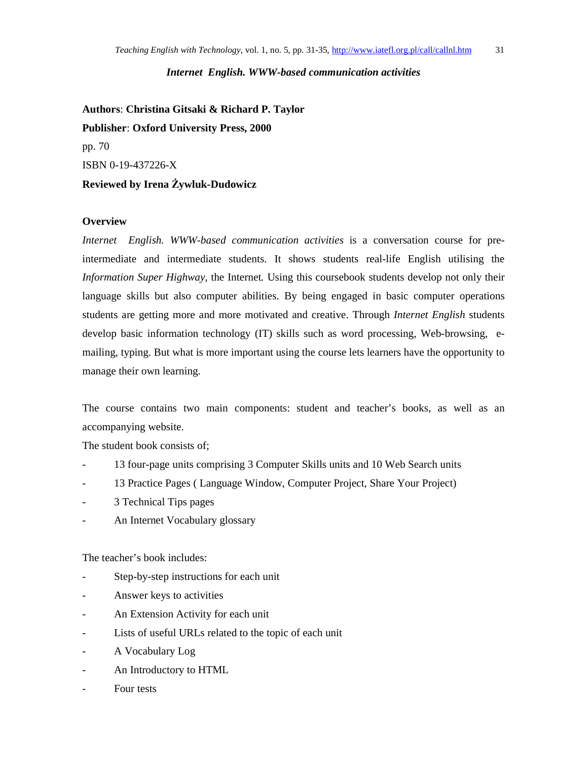## *Internet English. WWW-based communication activities*

**Authors**: **Christina Gitsaki & Richard P. Taylor Publisher**: **Oxford University Press, 2000** pp. 70 ISBN 0-19-437226-X **Reviewed by Irena Żywluk-Dudowicz** 

## **Overview**

*Internet English. WWW-based communication activities* is a conversation course for preintermediate and intermediate students. It shows students real-life English utilising the *Information Super Highway,* the Internet*.* Using this coursebook students develop not only their language skills but also computer abilities. By being engaged in basic computer operations students are getting more and more motivated and creative. Through *Internet English* students develop basic information technology (IT) skills such as word processing, Web-browsing, emailing, typing. But what is more important using the course lets learners have the opportunity to manage their own learning.

The course contains two main components: student and teacher's books, as well as an accompanying website.

The student book consists of;

- 13 four-page units comprising 3 Computer Skills units and 10 Web Search units
- 13 Practice Pages ( Language Window, Computer Project, Share Your Project)
- 3 Technical Tips pages
- An Internet Vocabulary glossary

The teacher's book includes:

- Step-by-step instructions for each unit
- Answer keys to activities
- An Extension Activity for each unit
- Lists of useful URLs related to the topic of each unit
- A Vocabulary Log
- An Introductory to HTML
- Four tests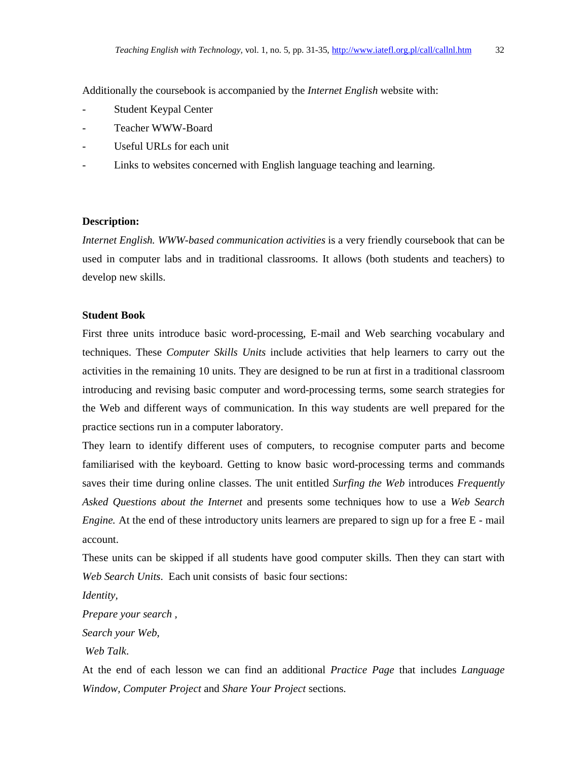Additionally the coursebook is accompanied by the *Internet English* website with:

- Student Keypal Center
- Teacher WWW-Board
- Useful URLs for each unit
- Links to websites concerned with English language teaching and learning.

## **Description:**

*Internet English. WWW-based communication activities* is a very friendly coursebook that can be used in computer labs and in traditional classrooms. It allows (both students and teachers) to develop new skills.

#### **Student Book**

First three units introduce basic word-processing, E-mail and Web searching vocabulary and techniques. These *Computer Skills Units* include activities that help learners to carry out the activities in the remaining 10 units. They are designed to be run at first in a traditional classroom introducing and revising basic computer and word-processing terms, some search strategies for the Web and different ways of communication. In this way students are well prepared for the practice sections run in a computer laboratory.

They learn to identify different uses of computers, to recognise computer parts and become familiarised with the keyboard. Getting to know basic word-processing terms and commands saves their time during online classes. The unit entitled *Surfing the Web* introduces *Frequently Asked Questions about the Internet* and presents some techniques how to use a *Web Search Engine.* At the end of these introductory units learners are prepared to sign up for a free E - mail account.

These units can be skipped if all students have good computer skills. Then they can start with *Web Search Units*. Each unit consists of basic four sections:

*Identity,* 

*Prepare your search ,* 

*Search your Web,* 

 *Web Talk*.

At the end of each lesson we can find an additional *Practice Page* that includes *Language Window, Computer Project* and *Share Your Project* sections.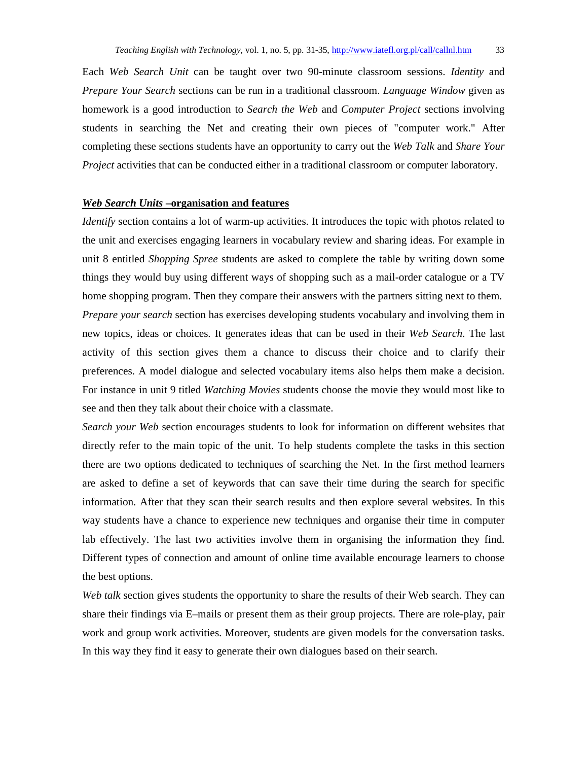Each *Web Search Unit* can be taught over two 90-minute classroom sessions. *Identity* and *Prepare Your Search* sections can be run in a traditional classroom. *Language Window* given as homework is a good introduction to *Search the Web* and *Computer Project* sections involving students in searching the Net and creating their own pieces of "computer work." After completing these sections students have an opportunity to carry out the *Web Talk* and *Share Your Project* activities that can be conducted either in a traditional classroom or computer laboratory.

## *Web Search Units* **–organisation and features**

*Identify* section contains a lot of warm-up activities. It introduces the topic with photos related to the unit and exercises engaging learners in vocabulary review and sharing ideas. For example in unit 8 entitled *Shopping Spree* students are asked to complete the table by writing down some things they would buy using different ways of shopping such as a mail-order catalogue or a TV home shopping program. Then they compare their answers with the partners sitting next to them. *Prepare your search* section has exercises developing students vocabulary and involving them in new topics, ideas or choices. It generates ideas that can be used in their *Web Search*. The last activity of this section gives them a chance to discuss their choice and to clarify their preferences. A model dialogue and selected vocabulary items also helps them make a decision. For instance in unit 9 titled *Watching Movies* students choose the movie they would most like to see and then they talk about their choice with a classmate.

*Search your Web* section encourages students to look for information on different websites that directly refer to the main topic of the unit. To help students complete the tasks in this section there are two options dedicated to techniques of searching the Net. In the first method learners are asked to define a set of keywords that can save their time during the search for specific information. After that they scan their search results and then explore several websites. In this way students have a chance to experience new techniques and organise their time in computer lab effectively. The last two activities involve them in organising the information they find. Different types of connection and amount of online time available encourage learners to choose the best options.

*Web talk* section gives students the opportunity to share the results of their Web search. They can share their findings via E–mails or present them as their group projects. There are role-play, pair work and group work activities. Moreover, students are given models for the conversation tasks. In this way they find it easy to generate their own dialogues based on their search.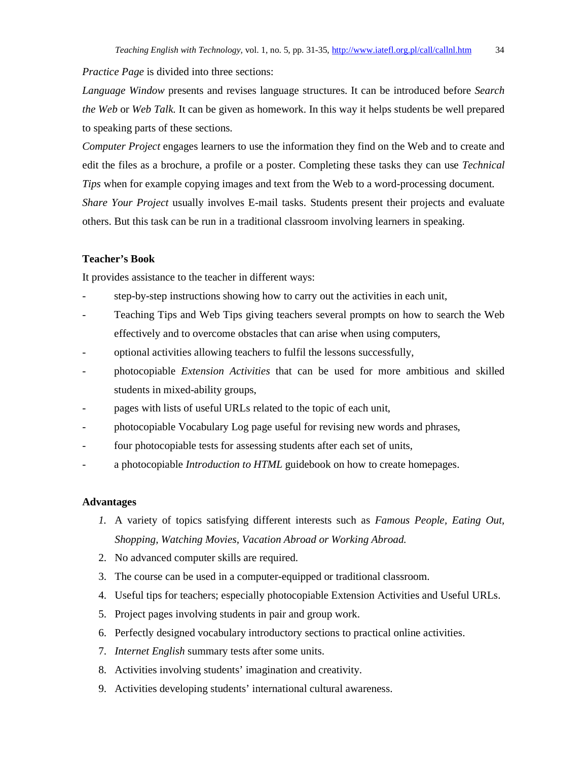*Practice Page* is divided into three sections:

*Language Window* presents and revises language structures. It can be introduced before *Search the Web* or *Web Talk.* It can be given as homework. In this way it helps students be well prepared to speaking parts of these sections.

*Computer Project* engages learners to use the information they find on the Web and to create and edit the files as a brochure, a profile or a poster. Completing these tasks they can use *Technical Tips* when for example copying images and text from the Web to a word-processing document. *Share Your Project* usually involves E-mail tasks. Students present their projects and evaluate others. But this task can be run in a traditional classroom involving learners in speaking.

# **Teacher's Book**

It provides assistance to the teacher in different ways:

- step-by-step instructions showing how to carry out the activities in each unit,
- Teaching Tips and Web Tips giving teachers several prompts on how to search the Web effectively and to overcome obstacles that can arise when using computers,
- optional activities allowing teachers to fulfil the lessons successfully,
- photocopiable *Extension Activities* that can be used for more ambitious and skilled students in mixed-ability groups,
- pages with lists of useful URLs related to the topic of each unit,
- photocopiable Vocabulary Log page useful for revising new words and phrases,
- four photocopiable tests for assessing students after each set of units,
- a photocopiable *Introduction to HTML* guidebook on how to create homepages.

#### **Advantages**

- *1.* A variety of topics satisfying different interests such as *Famous People, Eating Out, Shopping, Watching Movies, Vacation Abroad or Working Abroad.*
- 2. No advanced computer skills are required.
- 3. The course can be used in a computer-equipped or traditional classroom.
- 4. Useful tips for teachers; especially photocopiable Extension Activities and Useful URLs.
- 5. Project pages involving students in pair and group work.
- 6. Perfectly designed vocabulary introductory sections to practical online activities.
- 7. *Internet English* summary tests after some units.
- 8. Activities involving students' imagination and creativity.
- 9. Activities developing students' international cultural awareness.